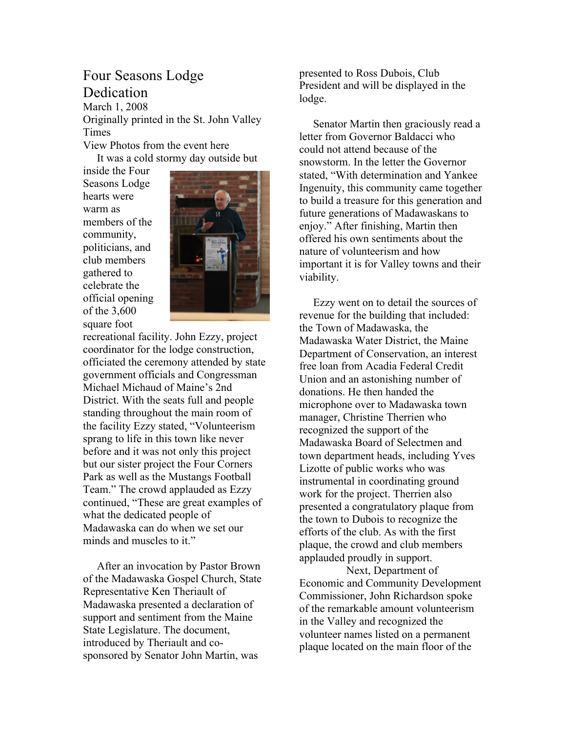## Four Seasons Lodge **Dedication**

March 1, 2008 Originally printed in the St. John Valley **Times** 

View Photos from the event here

It was a cold stormy day outside but

inside the Four Seasons Lodge hearts were warm as members of the community, politicians, and club members gathered to celebrate the official opening of the 3,600 square foot



recreational facility. John Ezzy, project coordinator for the lodge construction, officiated the ceremony attended by state government officials and Congressman Michael Michaud of Maine's 2nd District. With the seats full and people standing throughout the main room of the facility Ezzy stated, "Volunteerism sprang to life in this town like never before and it was not only this project but our sister project the Four Corners Park as well as the Mustangs Football Team." The crowd applauded as Ezzy continued, "These are great examples of what the dedicated people of Madawaska can do when we set our minds and muscles to it."

 After an invocation by Pastor Brown of the Madawaska Gospel Church, State Representative Ken Theriault of Madawaska presented a declaration of support and sentiment from the Maine State Legislature. The document, introduced by Theriault and cosponsored by Senator John Martin, was

presented to Ross Dubois, Club President and will be displayed in the lodge.

 Senator Martin then graciously read a letter from Governor Baldacci who could not attend because of the snowstorm. In the letter the Governor stated, "With determination and Yankee Ingenuity, this community came together to build a treasure for this generation and future generations of Madawaskans to enjoy." After finishing, Martin then offered his own sentiments about the nature of volunteerism and how important it is for Valley towns and their viability.

 Ezzy went on to detail the sources of revenue for the building that included: the Town of Madawaska, the Madawaska Water District, the Maine Department of Conservation, an interest free loan from Acadia Federal Credit Union and an astonishing number of donations. He then handed the microphone over to Madawaska town manager, Christine Therrien who recognized the support of the Madawaska Board of Selectmen and town department heads, including Yves Lizotte of public works who was instrumental in coordinating ground work for the project. Therrien also presented a congratulatory plaque from the town to Dubois to recognize the efforts of the club. As with the first plaque, the crowd and club members applauded proudly in support.

 Next, Department of Economic and Community Development Commissioner, John Richardson spoke of the remarkable amount volunteerism in the Valley and recognized the volunteer names listed on a permanent plaque located on the main floor of the